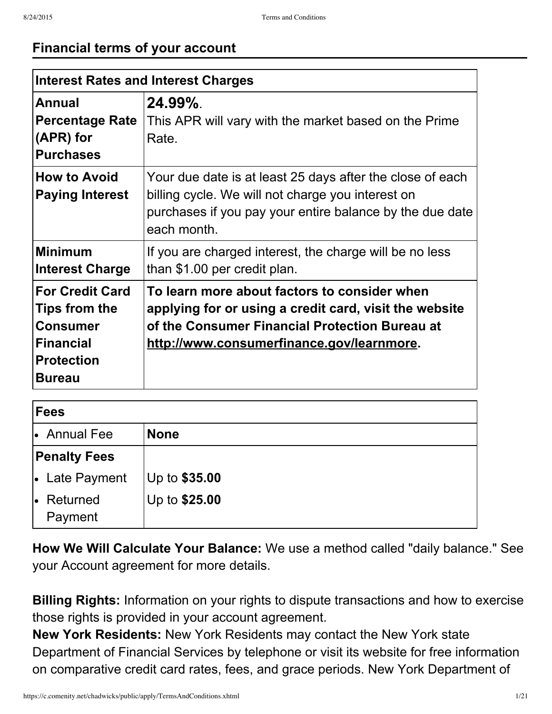### **Financial terms of your account**

| <b>Interest Rates and Interest Charges</b>                                                                           |                                                                                                                                                                                                       |  |  |
|----------------------------------------------------------------------------------------------------------------------|-------------------------------------------------------------------------------------------------------------------------------------------------------------------------------------------------------|--|--|
| Annual<br><b>Percentage Rate</b><br>(APR) for<br><b>Purchases</b>                                                    | $24.99\%$ .<br>This APR will vary with the market based on the Prime<br>Rate.                                                                                                                         |  |  |
| <b>How to Avoid</b><br><b>Paying Interest</b>                                                                        | Your due date is at least 25 days after the close of each<br>billing cycle. We will not charge you interest on<br>purchases if you pay your entire balance by the due date<br>each month.             |  |  |
| <b>Minimum</b><br><b>Interest Charge</b>                                                                             | If you are charged interest, the charge will be no less<br>than \$1.00 per credit plan.                                                                                                               |  |  |
| <b>For Credit Card</b><br>Tips from the<br><b>Consumer</b><br><b>Financial</b><br><b>Protection</b><br><b>Bureau</b> | To learn more about factors to consider when<br>applying for or using a credit card, visit the website<br>of the Consumer Financial Protection Bureau at<br>http://www.consumerfinance.gov/learnmore. |  |  |

| Fees                      |               |  |  |  |
|---------------------------|---------------|--|--|--|
| $\bullet$ Annual Fee      | <b>None</b>   |  |  |  |
| <b>Penalty Fees</b>       |               |  |  |  |
| • Late Payment            | Up to \$35.00 |  |  |  |
| Returned<br>le<br>Payment | Up to \$25.00 |  |  |  |

**How We Will Calculate Your Balance:** We use a method called "daily balance." See your Account agreement for more details.

**Billing Rights:** Information on your rights to dispute transactions and how to exercise those rights is provided in your account agreement.

**New York Residents:** New York Residents may contact the New York state Department of Financial Services by telephone or visit its website for free information on comparative credit card rates, fees, and grace periods. New York Department of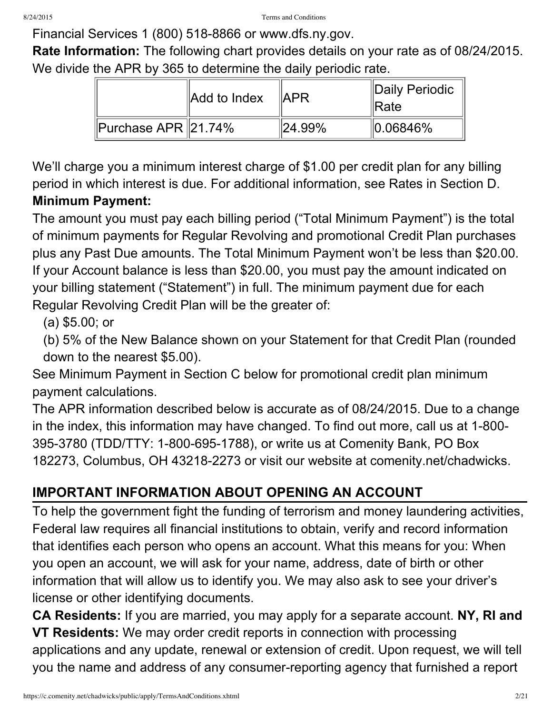Financial Services 1 (800) 518-8866 or www.dfs.ny.gov.

**Rate Information:** The following chart provides details on your rate as of 08/24/2015. We divide the APR by 365 to determine the daily periodic rate.

|                              | Add to Index | ∥APR                     | Daily Periodic<br>llRate |
|------------------------------|--------------|--------------------------|--------------------------|
| <b>I</b> Purchase APR 21.74% |              | $^{\prime\prime}$ 24.99% | $\parallel$ 0.06846%     |

We'll charge you a minimum interest charge of \$1.00 per credit plan for any billing period in which interest is due. For additional information, see Rates in Section D. **Minimum Payment:**

The amount you must pay each billing period ("Total Minimum Payment") is the total of minimum payments for Regular Revolving and promotional Credit Plan purchases plus any Past Due amounts. The Total Minimum Payment won't be less than \$20.00. If your Account balance is less than \$20.00, you must pay the amount indicated on your billing statement ("Statement") in full. The minimum payment due for each Regular Revolving Credit Plan will be the greater of:

(a) \$5.00; or

(b) 5% of the New Balance shown on your Statement for that Credit Plan (rounded down to the nearest \$5.00).

See Minimum Payment in Section C below for promotional credit plan minimum payment calculations.

The APR information described below is accurate as of 08/24/2015. Due to a change in the index, this information may have changed. To find out more, call us at 1-800-395-3780 (TDD/TTY: 1-800-695-1788), or write us at Comenity Bank, PO Box 182273, Columbus, OH 43218-2273 or visit our website at comenity.net/chadwicks.

# **IMPORTANT INFORMATION ABOUT OPENING AN ACCOUNT**

To help the government fight the funding of terrorism and money laundering activities, Federal law requires all financial institutions to obtain, verify and record information that identifies each person who opens an account. What this means for you: When you open an account, we will ask for your name, address, date of birth or other information that will allow us to identify you. We may also ask to see your driver's license or other identifying documents.

**CA Residents:** If you are married, you may apply for a separate account. **NY, RI and VT Residents:** We may order credit reports in connection with processing applications and any update, renewal or extension of credit. Upon request, we will tell you the name and address of any consumer-reporting agency that furnished a report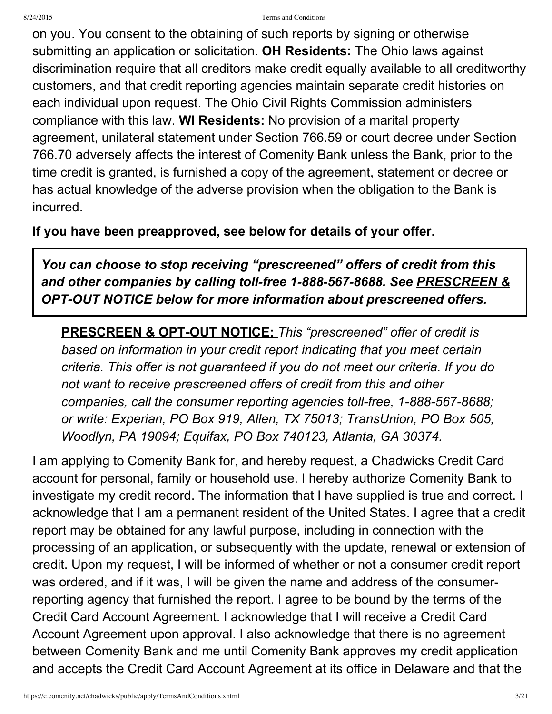#### 8/24/2015 Terms and Conditions

on you. You consent to the obtaining of such reports by signing or otherwise submitting an application or solicitation. **OH Residents:** The Ohio laws against discrimination require that all creditors make credit equally available to all creditworthy customers, and that credit reporting agencies maintain separate credit histories on each individual upon request. The Ohio Civil Rights Commission administers compliance with this law. **WI Residents:** No provision of a marital property agreement, unilateral statement under Section 766.59 or court decree under Section 766.70 adversely affects the interest of Comenity Bank unless the Bank, prior to the time credit is granted, is furnished a copy of the agreement, statement or decree or has actual knowledge of the adverse provision when the obligation to the Bank is incurred.

### **If you have been preapproved, see below for details of your offer.**

*You can choose to stop receiving "prescreened" offers of credit from this and other companies by calling tollfree 18885678688. See PRESCREEN & <u>OPT-OUT NOTICE</u> below for more information about prescreened offers.* 

**PRESCREEN & OPT-OUT NOTICE:** This "prescreened" offer of credit is *based on information in your credit report indicating that you meet certain criteria. This offer is not guaranteed if you do not meet our criteria. If you do not want to receive prescreened offers of credit from this and other companies, call the consumer reporting agencies <i>toll-free, 1-888-567-8688; or write: Experian, PO Box 919, Allen, TX 75013; TransUnion, PO Box 505, Woodlyn, PA 19094; Equifax, PO Box 740123, Atlanta, GA 30374.*

I am applying to Comenity Bank for, and hereby request, a Chadwicks Credit Card account for personal, family or household use. I hereby authorize Comenity Bank to investigate my credit record. The information that I have supplied is true and correct. I acknowledge that I am a permanent resident of the United States. I agree that a credit report may be obtained for any lawful purpose, including in connection with the processing of an application, or subsequently with the update, renewal or extension of credit. Upon my request, I will be informed of whether or not a consumer credit report was ordered, and if it was, I will be given the name and address of the consumerreporting agency that furnished the report. I agree to be bound by the terms of the Credit Card Account Agreement. I acknowledge that I will receive a Credit Card Account Agreement upon approval. I also acknowledge that there is no agreement between Comenity Bank and me until Comenity Bank approves my credit application and accepts the Credit Card Account Agreement at its office in Delaware and that the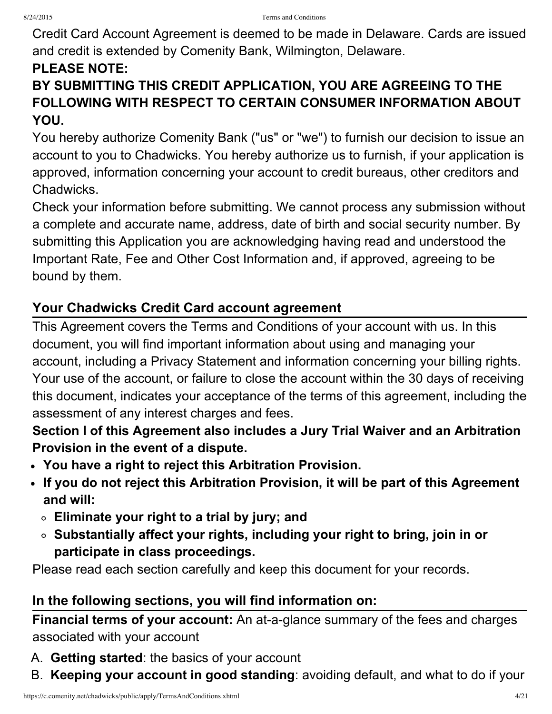Credit Card Account Agreement is deemed to be made in Delaware. Cards are issued and credit is extended by Comenity Bank, Wilmington, Delaware.

### **PLEASE NOTE:**

## **BY SUBMITTING THIS CREDIT APPLICATION, YOU ARE AGREEING TO THE FOLLOWING WITH RESPECT TO CERTAIN CONSUMER INFORMATION ABOUT YOU.**

You hereby authorize Comenity Bank ("us" or "we") to furnish our decision to issue an account to you to Chadwicks. You hereby authorize us to furnish, if your application is approved, information concerning your account to credit bureaus, other creditors and Chadwicks.

Check your information before submitting. We cannot process any submission without a complete and accurate name, address, date of birth and social security number. By submitting this Application you are acknowledging having read and understood the Important Rate, Fee and Other Cost Information and, if approved, agreeing to be bound by them.

### **Your Chadwicks Credit Card account agreement**

This Agreement covers the Terms and Conditions of your account with us. In this document, you will find important information about using and managing your account, including a Privacy Statement and information concerning your billing rights. Your use of the account, or failure to close the account within the 30 days of receiving this document, indicates your acceptance of the terms of this agreement, including the assessment of any interest charges and fees.

**Section I of this Agreement also includes a Jury Trial Waiver and an Arbitration Provision in the event of a dispute.**

- **You have a right to reject this Arbitration Provision.**
- **If you do not reject this Arbitration Provision, it will be part of this Agreement and will:**
	- **Eliminate your right to a trial by jury; and**
	- **Substantially affect your rights, including your right to bring, join in or participate in class proceedings.**

Please read each section carefully and keep this document for your records.

### **In the following sections, you will find information on:**

**Financial terms of your account:** An at-a-glance summary of the fees and charges associated with your account

- A. **Getting started**: the basics of your account
- B. **Keeping your account in good standing**: avoiding default, and what to do if your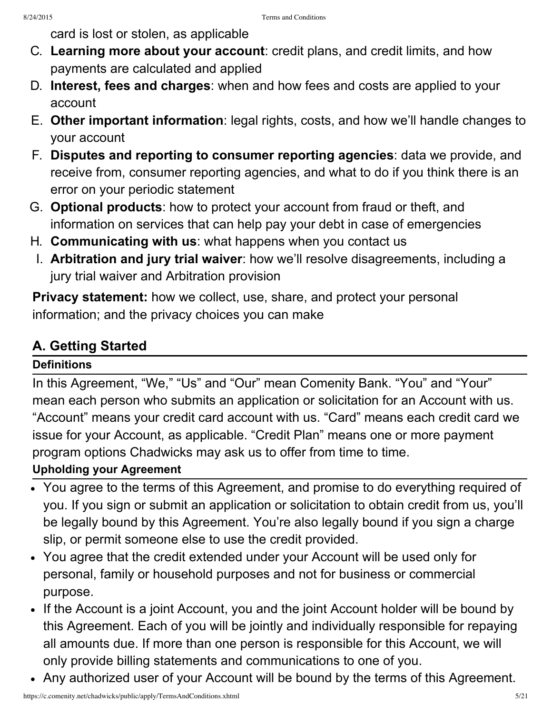card is lost or stolen, as applicable

- C. **Learning more about your account**: credit plans, and credit limits, and how payments are calculated and applied
- D. **Interest, fees and charges**: when and how fees and costs are applied to your account
- E. **Other important information**: legal rights, costs, and how we'll handle changes to your account
- F. **Disputes and reporting to consumer reporting agencies**: data we provide, and receive from, consumer reporting agencies, and what to do if you think there is an error on your periodic statement
- G. **Optional products**: how to protect your account from fraud or theft, and information on services that can help pay your debt in case of emergencies
- H. **Communicating with us**: what happens when you contact us
- I. **Arbitration and jury trial waiver**: how we'll resolve disagreements, including a jury trial waiver and Arbitration provision

**Privacy statement:** how we collect, use, share, and protect your personal information; and the privacy choices you can make

## **A. Getting Started**

### **Definitions**

In this Agreement, "We," "Us" and "Our" mean Comenity Bank. "You" and "Your" mean each person who submits an application or solicitation for an Account with us. "Account" means your credit card account with us. "Card" means each credit card we issue for your Account, as applicable. "Credit Plan" means one or more payment program options Chadwicks may ask us to offer from time to time.

#### **Upholding your Agreement**

- You agree to the terms of this Agreement, and promise to do everything required of you. If you sign or submit an application or solicitation to obtain credit from us, you'll be legally bound by this Agreement. You're also legally bound if you sign a charge slip, or permit someone else to use the credit provided.
- You agree that the credit extended under your Account will be used only for personal, family or household purposes and not for business or commercial purpose.
- If the Account is a joint Account, you and the joint Account holder will be bound by this Agreement. Each of you will be jointly and individually responsible for repaying all amounts due. If more than one person is responsible for this Account, we will only provide billing statements and communications to one of you.
- Any authorized user of your Account will be bound by the terms of this Agreement.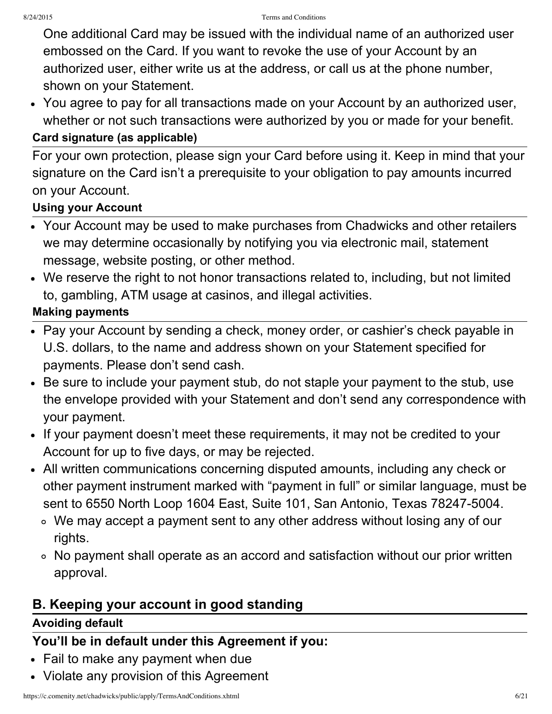One additional Card may be issued with the individual name of an authorized user embossed on the Card. If you want to revoke the use of your Account by an authorized user, either write us at the address, or call us at the phone number, shown on your Statement.

You agree to pay for all transactions made on your Account by an authorized user, whether or not such transactions were authorized by you or made for your benefit.

#### **Card signature (as applicable)**

For your own protection, please sign your Card before using it. Keep in mind that your signature on the Card isn't a prerequisite to your obligation to pay amounts incurred on your Account.

#### **Using your Account**

- Your Account may be used to make purchases from Chadwicks and other retailers we may determine occasionally by notifying you via electronic mail, statement message, website posting, or other method.
- We reserve the right to not honor transactions related to, including, but not limited to, gambling, ATM usage at casinos, and illegal activities.

#### **Making payments**

- Pay your Account by sending a check, money order, or cashier's check payable in U.S. dollars, to the name and address shown on your Statement specified for payments. Please don't send cash.
- Be sure to include your payment stub, do not staple your payment to the stub, use the envelope provided with your Statement and don't send any correspondence with your payment.
- If your payment doesn't meet these requirements, it may not be credited to your Account for up to five days, or may be rejected.
- All written communications concerning disputed amounts, including any check or other payment instrument marked with "payment in full" or similar language, must be sent to 6550 North Loop 1604 East, Suite 101, San Antonio, Texas 78247-5004.
	- We may accept a payment sent to any other address without losing any of our rights.
	- No payment shall operate as an accord and satisfaction without our prior written approval.

### **B. Keeping your account in good standing**

#### **Avoiding default**

### **You'll be in default under this Agreement if you:**

- Fail to make any payment when due
- Violate any provision of this Agreement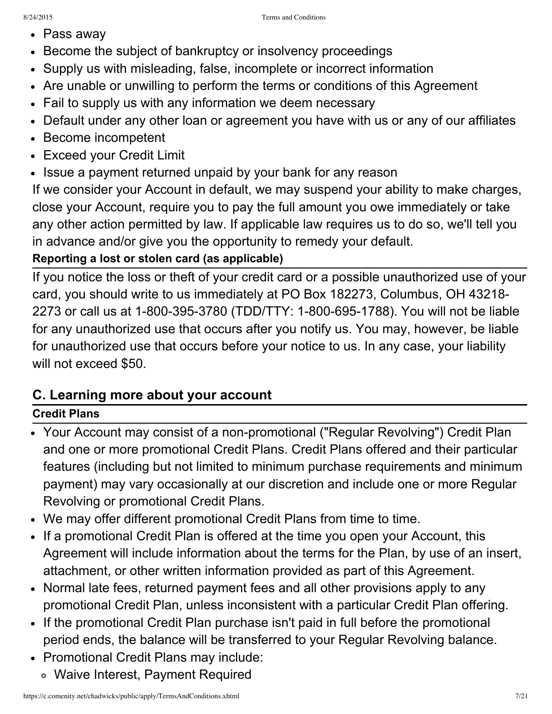- Pass away
- Become the subject of bankruptcy or insolvency proceedings
- Supply us with misleading, false, incomplete or incorrect information
- Are unable or unwilling to perform the terms or conditions of this Agreement
- Fail to supply us with any information we deem necessary
- Default under any other loan or agreement you have with us or any of our affiliates
- Become incompetent
- Exceed your Credit Limit
- Issue a payment returned unpaid by your bank for any reason

If we consider your Account in default, we may suspend your ability to make charges, close your Account, require you to pay the full amount you owe immediately or take any other action permitted by law. If applicable law requires us to do so, we'll tell you in advance and/or give you the opportunity to remedy your default.

### **Reporting a lost or stolen card (as applicable)**

If you notice the loss or theft of your credit card or a possible unauthorized use of your card, you should write to us immediately at PO Box 182273, Columbus, OH 43218 2273 or call us at 1-800-395-3780 (TDD/TTY: 1-800-695-1788). You will not be liable for any unauthorized use that occurs after you notify us. You may, however, be liable for unauthorized use that occurs before your notice to us. In any case, your liability will not exceed \$50.

### **C. Learning more about your account**

### **Credit Plans**

- Your Account may consist of a non-promotional ("Regular Revolving") Credit Plan and one or more promotional Credit Plans. Credit Plans offered and their particular features (including but not limited to minimum purchase requirements and minimum payment) may vary occasionally at our discretion and include one or more Regular Revolving or promotional Credit Plans.
- We may offer different promotional Credit Plans from time to time.
- If a promotional Credit Plan is offered at the time you open your Account, this Agreement will include information about the terms for the Plan, by use of an insert, attachment, or other written information provided as part of this Agreement.
- Normal late fees, returned payment fees and all other provisions apply to any promotional Credit Plan, unless inconsistent with a particular Credit Plan offering.
- If the promotional Credit Plan purchase isn't paid in full before the promotional period ends, the balance will be transferred to your Regular Revolving balance.
- Promotional Credit Plans may include:
	- Waive Interest, Payment Required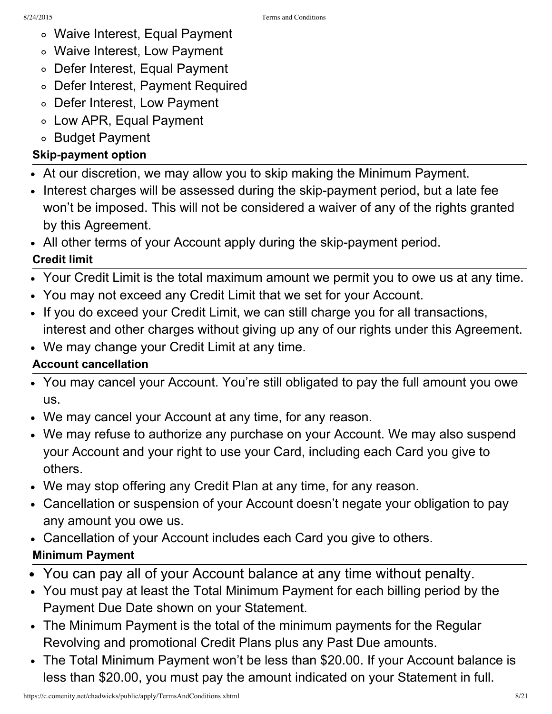- Waive Interest, Equal Payment
- Waive Interest, Low Payment
- Defer Interest, Equal Payment
- Defer Interest, Payment Required
- Defer Interest, Low Payment
- Low APR, Equal Payment
- ∘ Budget Payment

### **Skip-payment option**

- At our discretion, we may allow you to skip making the Minimum Payment.
- Interest charges will be assessed during the skip-payment period, but a late fee won't be imposed. This will not be considered a waiver of any of the rights granted by this Agreement.
- All other terms of your Account apply during the skip-payment period.

### **Credit limit**

- Your Credit Limit is the total maximum amount we permit you to owe us at any time.
- You may not exceed any Credit Limit that we set for your Account.
- If you do exceed your Credit Limit, we can still charge you for all transactions, interest and other charges without giving up any of our rights under this Agreement.
- We may change your Credit Limit at any time.

### **Account cancellation**

- You may cancel your Account. You're still obligated to pay the full amount you owe us.
- We may cancel your Account at any time, for any reason.
- We may refuse to authorize any purchase on your Account. We may also suspend your Account and your right to use your Card, including each Card you give to others.
- We may stop offering any Credit Plan at any time, for any reason.
- Cancellation or suspension of your Account doesn't negate your obligation to pay any amount you owe us.
- Cancellation of your Account includes each Card you give to others.

### **Minimum Payment**

- You can pay all of your Account balance at any time without penalty.
- You must pay at least the Total Minimum Payment for each billing period by the Payment Due Date shown on your Statement.
- The Minimum Payment is the total of the minimum payments for the Regular Revolving and promotional Credit Plans plus any Past Due amounts.
- The Total Minimum Payment won't be less than \$20.00. If your Account balance is less than \$20.00, you must pay the amount indicated on your Statement in full.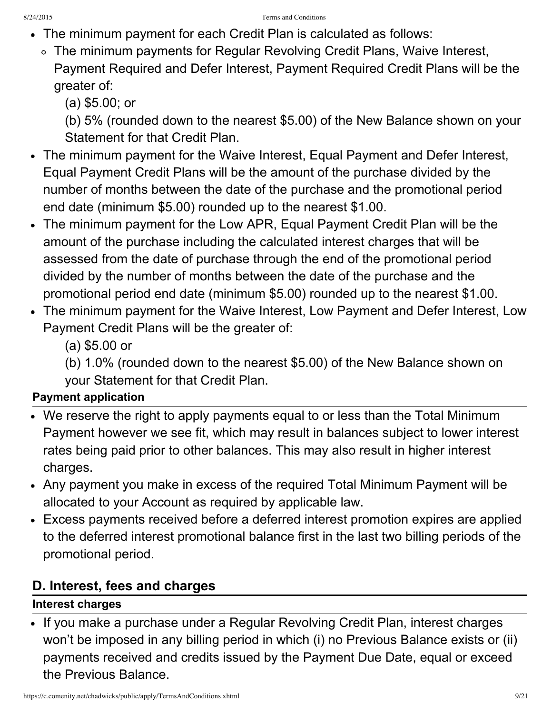- The minimum payment for each Credit Plan is calculated as follows:
	- The minimum payments for Regular Revolving Credit Plans, Waive Interest, Payment Required and Defer Interest, Payment Required Credit Plans will be the greater of:

(a) \$5.00; or

(b) 5% (rounded down to the nearest \$5.00) of the New Balance shown on your Statement for that Credit Plan.

- The minimum payment for the Waive Interest, Equal Payment and Defer Interest, Equal Payment Credit Plans will be the amount of the purchase divided by the number of months between the date of the purchase and the promotional period end date (minimum \$5.00) rounded up to the nearest \$1.00.
- The minimum payment for the Low APR, Equal Payment Credit Plan will be the amount of the purchase including the calculated interest charges that will be assessed from the date of purchase through the end of the promotional period divided by the number of months between the date of the purchase and the promotional period end date (minimum \$5.00) rounded up to the nearest \$1.00.
- The minimum payment for the Waive Interest, Low Payment and Defer Interest, Low Payment Credit Plans will be the greater of:
	- (a) \$5.00 or

(b) 1.0% (rounded down to the nearest \$5.00) of the New Balance shown on your Statement for that Credit Plan.

### **Payment application**

- We reserve the right to apply payments equal to or less than the Total Minimum Payment however we see fit, which may result in balances subject to lower interest rates being paid prior to other balances. This may also result in higher interest charges.
- Any payment you make in excess of the required Total Minimum Payment will be allocated to your Account as required by applicable law.
- Excess payments received before a deferred interest promotion expires are applied to the deferred interest promotional balance first in the last two billing periods of the promotional period.

## **D. Interest, fees and charges**

### **Interest charges**

• If you make a purchase under a Regular Revolving Credit Plan, interest charges won't be imposed in any billing period in which (i) no Previous Balance exists or (ii) payments received and credits issued by the Payment Due Date, equal or exceed the Previous Balance.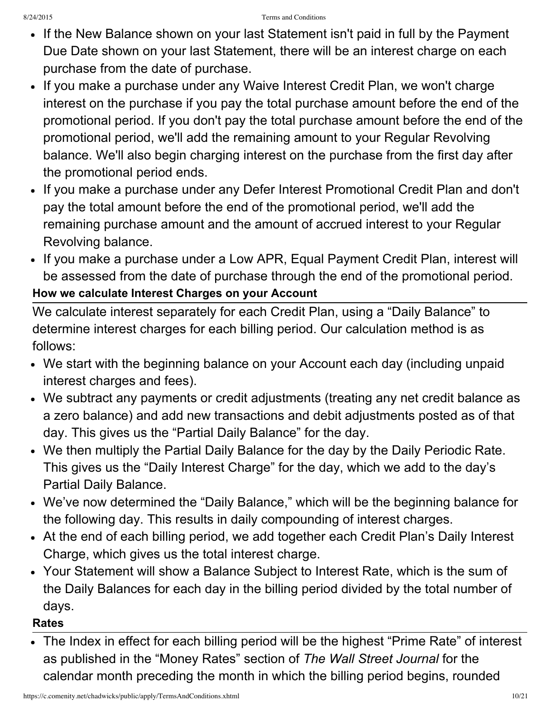- If the New Balance shown on your last Statement isn't paid in full by the Payment Due Date shown on your last Statement, there will be an interest charge on each purchase from the date of purchase.
- If you make a purchase under any Waive Interest Credit Plan, we won't charge interest on the purchase if you pay the total purchase amount before the end of the promotional period. If you don't pay the total purchase amount before the end of the promotional period, we'll add the remaining amount to your Regular Revolving balance. We'll also begin charging interest on the purchase from the first day after the promotional period ends.
- If you make a purchase under any Defer Interest Promotional Credit Plan and don't pay the total amount before the end of the promotional period, we'll add the remaining purchase amount and the amount of accrued interest to your Regular Revolving balance.
- If you make a purchase under a Low APR, Equal Payment Credit Plan, interest will be assessed from the date of purchase through the end of the promotional period. **How we calculate Interest Charges on your Account**

### We calculate interest separately for each Credit Plan, using a "Daily Balance" to determine interest charges for each billing period. Our calculation method is as follows:

- We start with the beginning balance on your Account each day (including unpaid interest charges and fees).
- We subtract any payments or credit adjustments (treating any net credit balance as a zero balance) and add new transactions and debit adjustments posted as of that day. This gives us the "Partial Daily Balance" for the day.
- We then multiply the Partial Daily Balance for the day by the Daily Periodic Rate. This gives us the "Daily Interest Charge" for the day, which we add to the day's Partial Daily Balance.
- We've now determined the "Daily Balance," which will be the beginning balance for the following day. This results in daily compounding of interest charges.
- At the end of each billing period, we add together each Credit Plan's Daily Interest Charge, which gives us the total interest charge.
- Your Statement will show a Balance Subject to Interest Rate, which is the sum of the Daily Balances for each day in the billing period divided by the total number of days.

#### **Rates**

The Index in effect for each billing period will be the highest "Prime Rate" of interest as published in the "Money Rates" section of *The Wall Street Journal* for the calendar month preceding the month in which the billing period begins, rounded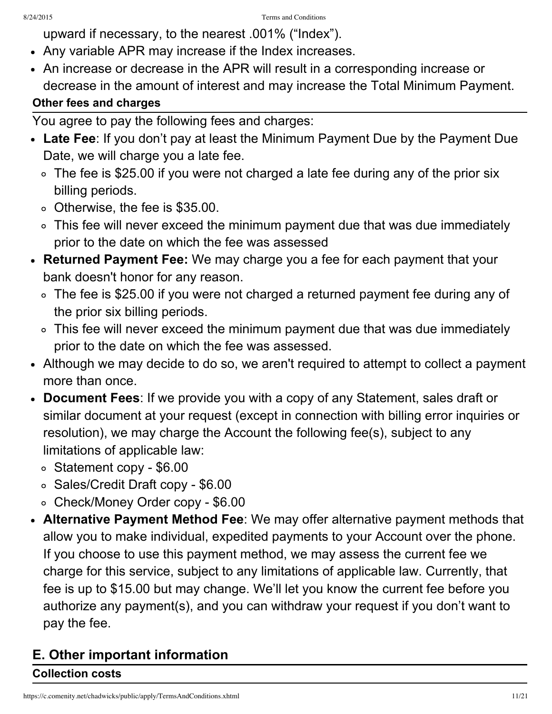- upward if necessary, to the nearest .001% ("Index").
- Any variable APR may increase if the Index increases.
- An increase or decrease in the APR will result in a corresponding increase or decrease in the amount of interest and may increase the Total Minimum Payment. **Other fees and charges**
- You agree to pay the following fees and charges:
- **Late Fee**: If you don't pay at least the Minimum Payment Due by the Payment Due Date, we will charge you a late fee.
	- The fee is \$25.00 if you were not charged a late fee during any of the prior six billing periods.
	- o Otherwise, the fee is \$35.00.
	- This fee will never exceed the minimum payment due that was due immediately prior to the date on which the fee was assessed
- **Returned Payment Fee:** We may charge you a fee for each payment that your bank doesn't honor for any reason.
	- The fee is \$25.00 if you were not charged a returned payment fee during any of the prior six billing periods.
	- This fee will never exceed the minimum payment due that was due immediately prior to the date on which the fee was assessed.
- Although we may decide to do so, we aren't required to attempt to collect a payment more than once.
- **Document Fees**: If we provide you with a copy of any Statement, sales draft or similar document at your request (except in connection with billing error inquiries or resolution), we may charge the Account the following fee(s), subject to any limitations of applicable law:
	- $\circ$  Statement copy \$6.00
	- Sales/Credit Draft copy \$6.00
	- o Check/Money Order copy \$6.00
- **Alternative Payment Method Fee**: We may offer alternative payment methods that allow you to make individual, expedited payments to your Account over the phone. If you choose to use this payment method, we may assess the current fee we charge for this service, subject to any limitations of applicable law. Currently, that fee is up to \$15.00 but may change. We'll let you know the current fee before you authorize any payment(s), and you can withdraw your request if you don't want to pay the fee.

# **E. Other important information**

### **Collection costs**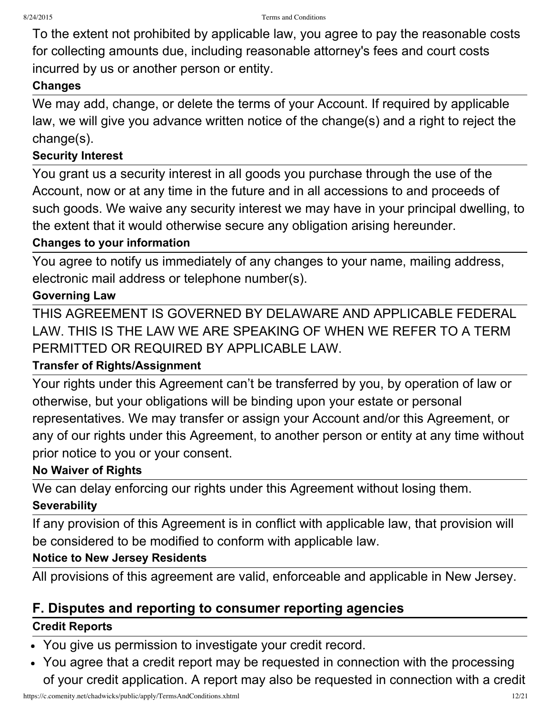To the extent not prohibited by applicable law, you agree to pay the reasonable costs for collecting amounts due, including reasonable attorney's fees and court costs incurred by us or another person or entity.

#### **Changes**

We may add, change, or delete the terms of your Account. If required by applicable law, we will give you advance written notice of the change(s) and a right to reject the change(s).

#### **Security Interest**

You grant us a security interest in all goods you purchase through the use of the Account, now or at any time in the future and in all accessions to and proceeds of such goods. We waive any security interest we may have in your principal dwelling, to the extent that it would otherwise secure any obligation arising hereunder.

#### **Changes to your information**

You agree to notify us immediately of any changes to your name, mailing address, electronic mail address or telephone number(s).

#### **Governing Law**

THIS AGREEMENT IS GOVERNED BY DELAWARE AND APPLICABLE FEDERAL LAW. THIS IS THE LAW WE ARE SPEAKING OF WHEN WE REFER TO A TERM PERMITTED OR REQUIRED BY APPLICABLE LAW.

#### **Transfer of Rights/Assignment**

Your rights under this Agreement can't be transferred by you, by operation of law or otherwise, but your obligations will be binding upon your estate or personal representatives. We may transfer or assign your Account and/or this Agreement, or any of our rights under this Agreement, to another person or entity at any time without prior notice to you or your consent.

#### **No Waiver of Rights**

We can delay enforcing our rights under this Agreement without losing them. **Severability**

If any provision of this Agreement is in conflict with applicable law, that provision will be considered to be modified to conform with applicable law.

#### **Notice to New Jersey Residents**

All provisions of this agreement are valid, enforceable and applicable in New Jersey.

### **F. Disputes and reporting to consumer reporting agencies**

#### **Credit Reports**

- You give us permission to investigate your credit record.
- You agree that a credit report may be requested in connection with the processing of your credit application. A report may also be requested in connection with a credit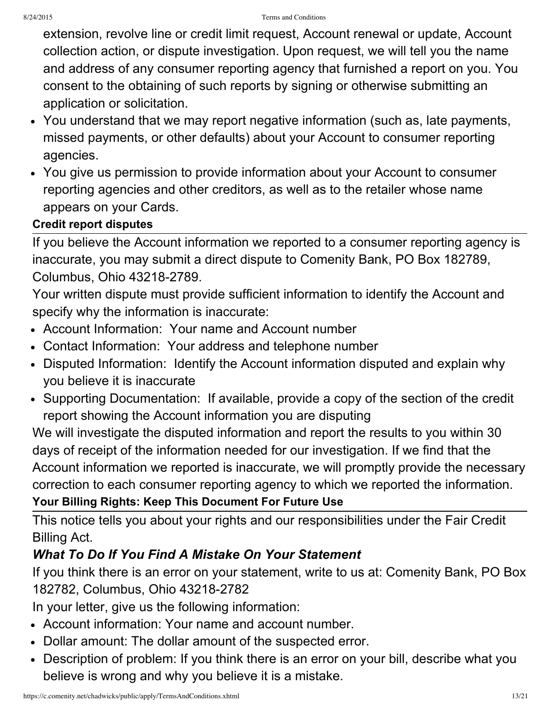extension, revolve line or credit limit request, Account renewal or update, Account collection action, or dispute investigation. Upon request, we will tell you the name and address of any consumer reporting agency that furnished a report on you. You consent to the obtaining of such reports by signing or otherwise submitting an application or solicitation.

- You understand that we may report negative information (such as, late payments, missed payments, or other defaults) about your Account to consumer reporting agencies.
- You give us permission to provide information about your Account to consumer reporting agencies and other creditors, as well as to the retailer whose name appears on your Cards.

### **Credit report disputes**

If you believe the Account information we reported to a consumer reporting agency is inaccurate, you may submit a direct dispute to Comenity Bank, PO Box 182789, Columbus, Ohio 43218-2789.

Your written dispute must provide sufficient information to identify the Account and specify why the information is inaccurate:

- Account Information: Your name and Account number
- Contact Information: Your address and telephone number
- Disputed Information: Identify the Account information disputed and explain why you believe it is inaccurate
- Supporting Documentation: If available, provide a copy of the section of the credit report showing the Account information you are disputing

We will investigate the disputed information and report the results to you within 30 days of receipt of the information needed for our investigation. If we find that the Account information we reported is inaccurate, we will promptly provide the necessary correction to each consumer reporting agency to which we reported the information. **Your Billing Rights: Keep This Document For Future Use**

This notice tells you about your rights and our responsibilities under the Fair Credit Billing Act.

## *What To Do If You Find A Mistake On Your Statement*

If you think there is an error on your statement, write to us at: Comenity Bank, PO Box 182782, Columbus, Ohio 43218-2782

In your letter, give us the following information:

- Account information: Your name and account number.
- Dollar amount: The dollar amount of the suspected error.
- Description of problem: If you think there is an error on your bill, describe what you believe is wrong and why you believe it is a mistake.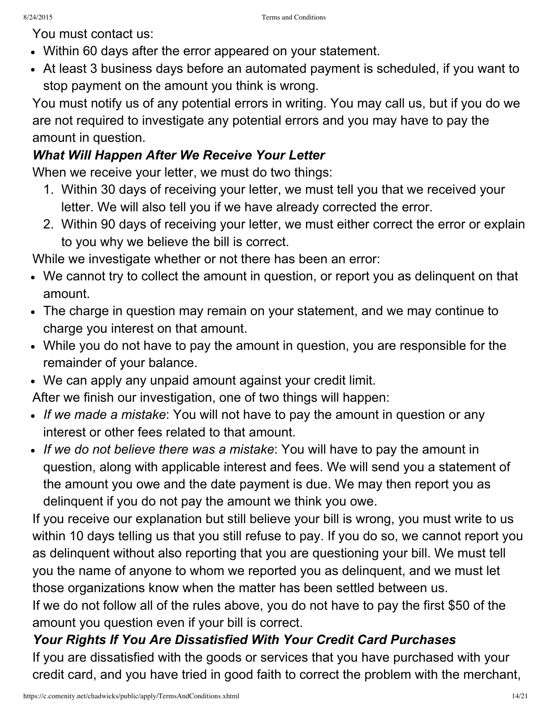You must contact us:

- Within 60 days after the error appeared on your statement.
- At least 3 business days before an automated payment is scheduled, if you want to stop payment on the amount you think is wrong.

You must notify us of any potential errors in writing. You may call us, but if you do we are not required to investigate any potential errors and you may have to pay the amount in question.

## *What Will Happen After We Receive Your Letter*

When we receive your letter, we must do two things:

- 1. Within 30 days of receiving your letter, we must tell you that we received your letter. We will also tell you if we have already corrected the error.
- 2. Within 90 days of receiving your letter, we must either correct the error or explain to you why we believe the bill is correct.

While we investigate whether or not there has been an error:

- We cannot try to collect the amount in question, or report you as delinquent on that amount.
- The charge in question may remain on your statement, and we may continue to charge you interest on that amount.
- While you do not have to pay the amount in question, you are responsible for the remainder of your balance.
- We can apply any unpaid amount against your credit limit.

After we finish our investigation, one of two things will happen:

- *If we made a mistake*: You will not have to pay the amount in question or any interest or other fees related to that amount.
- *If we do not believe there was a mistake*: You will have to pay the amount in question, along with applicable interest and fees. We will send you a statement of the amount you owe and the date payment is due. We may then report you as delinquent if you do not pay the amount we think you owe.

If you receive our explanation but still believe your bill is wrong, you must write to us within 10 days telling us that you still refuse to pay. If you do so, we cannot report you as delinquent without also reporting that you are questioning your bill. We must tell you the name of anyone to whom we reported you as delinquent, and we must let those organizations know when the matter has been settled between us.

If we do not follow all of the rules above, you do not have to pay the first \$50 of the amount you question even if your bill is correct.

## *Your Rights If You Are Dissatisfied With Your Credit Card Purchases*

If you are dissatisfied with the goods or services that you have purchased with your credit card, and you have tried in good faith to correct the problem with the merchant,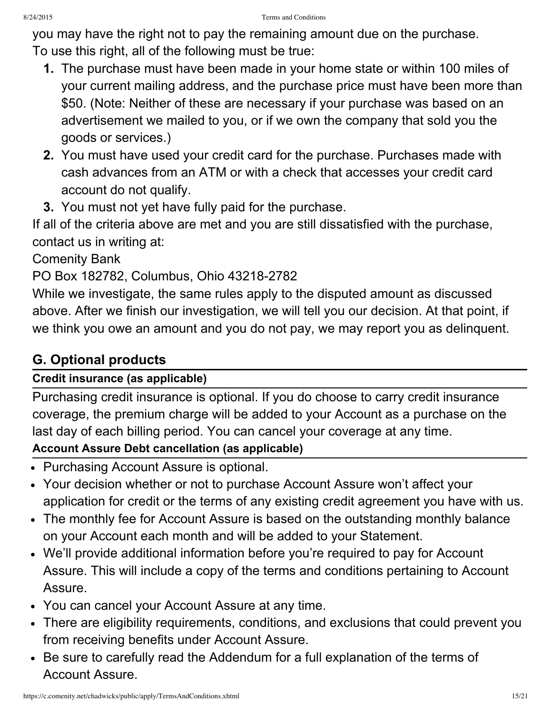you may have the right not to pay the remaining amount due on the purchase. To use this right, all of the following must be true:

- **1.** The purchase must have been made in your home state or within 100 miles of your current mailing address, and the purchase price must have been more than \$50. (Note: Neither of these are necessary if your purchase was based on an advertisement we mailed to you, or if we own the company that sold you the goods or services.)
- **2.** You must have used your credit card for the purchase. Purchases made with cash advances from an ATM or with a check that accesses your credit card account do not qualify.
- **3.** You must not yet have fully paid for the purchase.

If all of the criteria above are met and you are still dissatisfied with the purchase, contact us in writing at:

### Comenity Bank

PO Box 182782, Columbus, Ohio 43218-2782

While we investigate, the same rules apply to the disputed amount as discussed above. After we finish our investigation, we will tell you our decision. At that point, if we think you owe an amount and you do not pay, we may report you as delinquent.

# **G. Optional products**

### **Credit insurance (as applicable)**

Purchasing credit insurance is optional. If you do choose to carry credit insurance coverage, the premium charge will be added to your Account as a purchase on the last day of each billing period. You can cancel your coverage at any time.

### **Account Assure Debt cancellation (as applicable)**

- Purchasing Account Assure is optional.
- Your decision whether or not to purchase Account Assure won't affect your application for credit or the terms of any existing credit agreement you have with us.
- The monthly fee for Account Assure is based on the outstanding monthly balance on your Account each month and will be added to your Statement.
- We'll provide additional information before you're required to pay for Account Assure. This will include a copy of the terms and conditions pertaining to Account Assure.
- You can cancel your Account Assure at any time.
- There are eligibility requirements, conditions, and exclusions that could prevent you from receiving benefits under Account Assure.
- Be sure to carefully read the Addendum for a full explanation of the terms of Account Assure.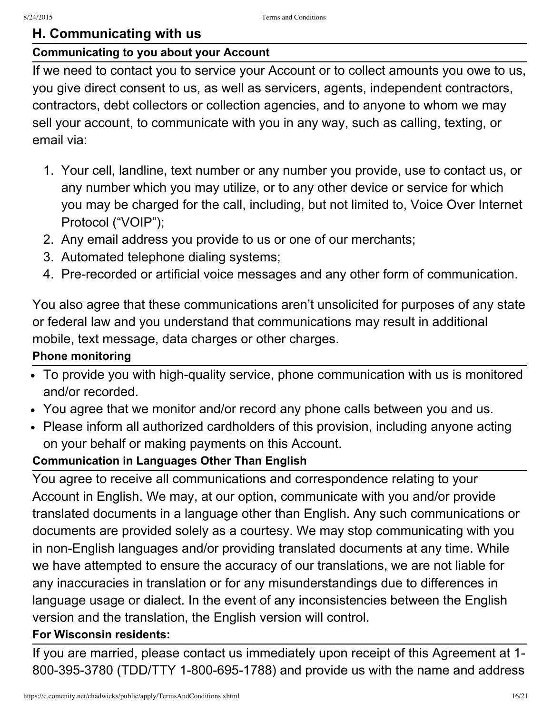### **H. Communicating with us**

#### **Communicating to you about your Account**

If we need to contact you to service your Account or to collect amounts you owe to us, you give direct consent to us, as well as servicers, agents, independent contractors, contractors, debt collectors or collection agencies, and to anyone to whom we may sell your account, to communicate with you in any way, such as calling, texting, or email via:

- 1. Your cell, landline, text number or any number you provide, use to contact us, or any number which you may utilize, or to any other device or service for which you may be charged for the call, including, but not limited to, Voice Over Internet Protocol ("VOIP");
- 2. Any email address you provide to us or one of our merchants;
- 3. Automated telephone dialing systems;
- 4. Pre-recorded or artificial voice messages and any other form of communication.

You also agree that these communications aren't unsolicited for purposes of any state or federal law and you understand that communications may result in additional mobile, text message, data charges or other charges.

#### **Phone monitoring**

- To provide you with high-quality service, phone communication with us is monitored and/or recorded.
- You agree that we monitor and/or record any phone calls between you and us.
- Please inform all authorized cardholders of this provision, including anyone acting on your behalf or making payments on this Account.

#### **Communication in Languages Other Than English**

You agree to receive all communications and correspondence relating to your Account in English. We may, at our option, communicate with you and/or provide translated documents in a language other than English. Any such communications or documents are provided solely as a courtesy. We may stop communicating with you in non-English languages and/or providing translated documents at any time. While we have attempted to ensure the accuracy of our translations, we are not liable for any inaccuracies in translation or for any misunderstandings due to differences in language usage or dialect. In the event of any inconsistencies between the English version and the translation, the English version will control.

#### **For Wisconsin residents:**

If you are married, please contact us immediately upon receipt of this Agreement at 1 800-395-3780 (TDD/TTY 1-800-695-1788) and provide us with the name and address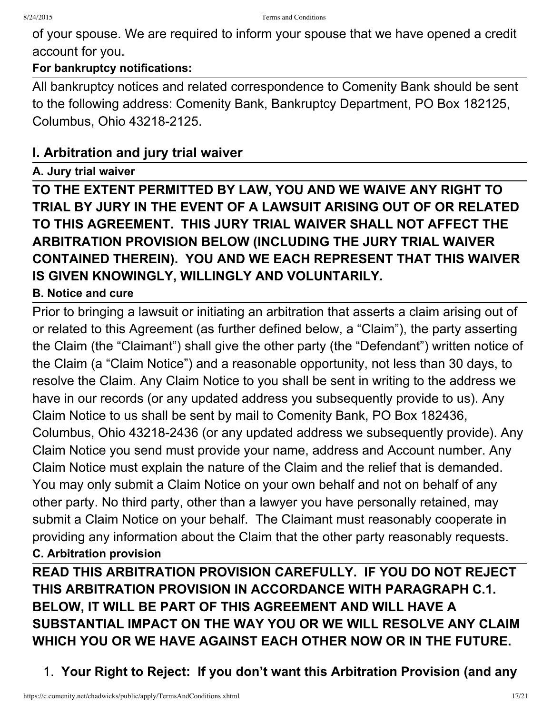of your spouse. We are required to inform your spouse that we have opened a credit account for you.

#### **For bankruptcy notifications:**

All bankruptcy notices and related correspondence to Comenity Bank should be sent to the following address: Comenity Bank, Bankruptcy Department, PO Box 182125, Columbus, Ohio 43218-2125.

### **I. Arbitration and jury trial waiver**

#### **A. Jury trial waiver**

**TO THE EXTENT PERMITTED BY LAW, YOU AND WE WAIVE ANY RIGHT TO TRIAL BY JURY IN THE EVENT OF A LAWSUIT ARISING OUT OF OR RELATED TO THIS AGREEMENT. THIS JURY TRIAL WAIVER SHALL NOT AFFECT THE ARBITRATION PROVISION BELOW (INCLUDING THE JURY TRIAL WAIVER CONTAINED THEREIN). YOU AND WE EACH REPRESENT THAT THIS WAIVER IS GIVEN KNOWINGLY, WILLINGLY AND VOLUNTARILY.**

#### **B. Notice and cure**

Prior to bringing a lawsuit or initiating an arbitration that asserts a claim arising out of or related to this Agreement (as further defined below, a "Claim"), the party asserting the Claim (the "Claimant") shall give the other party (the "Defendant") written notice of the Claim (a "Claim Notice") and a reasonable opportunity, not less than 30 days, to resolve the Claim. Any Claim Notice to you shall be sent in writing to the address we have in our records (or any updated address you subsequently provide to us). Any Claim Notice to us shall be sent by mail to Comenity Bank, PO Box 182436, Columbus, Ohio 43218-2436 (or any updated address we subsequently provide). Any Claim Notice you send must provide your name, address and Account number. Any Claim Notice must explain the nature of the Claim and the relief that is demanded. You may only submit a Claim Notice on your own behalf and not on behalf of any other party. No third party, other than a lawyer you have personally retained, may submit a Claim Notice on your behalf. The Claimant must reasonably cooperate in providing any information about the Claim that the other party reasonably requests. **C. Arbitration provision**

**READ THIS ARBITRATION PROVISION CAREFULLY. IF YOU DO NOT REJECT THIS ARBITRATION PROVISION IN ACCORDANCE WITH PARAGRAPH C.1. BELOW, IT WILL BE PART OF THIS AGREEMENT AND WILL HAVE A SUBSTANTIAL IMPACT ON THE WAY YOU OR WE WILL RESOLVE ANY CLAIM WHICH YOU OR WE HAVE AGAINST EACH OTHER NOW OR IN THE FUTURE.**

1. **Your Right to Reject: If you don't want this Arbitration Provision (and any**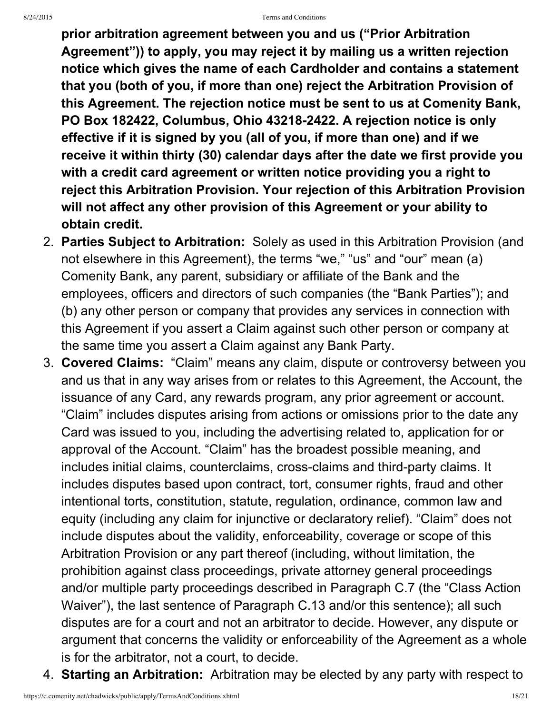#### 8/24/2015 Terms and Conditions

**prior arbitration agreement between you and us ("Prior Arbitration Agreement")) to apply, you may reject it by mailing us a written rejection notice which gives the name of each Cardholder and contains a statement that you (both of you, if more than one) reject the Arbitration Provision of this Agreement. The rejection notice must be sent to us at Comenity Bank, PO Box 182422, Columbus, Ohio 432182422. A rejection notice is only effective if it is signed by you (all of you, if more than one) and if we receive it within thirty (30) calendar days after the date we first provide you with a credit card agreement or written notice providing you a right to reject this Arbitration Provision. Your rejection of this Arbitration Provision will not affect any other provision of this Agreement or your ability to obtain credit.**

- 2. **Parties Subject to Arbitration:** Solely as used in this Arbitration Provision (and not elsewhere in this Agreement), the terms "we," "us" and "our" mean (a) Comenity Bank, any parent, subsidiary or affiliate of the Bank and the employees, officers and directors of such companies (the "Bank Parties"); and (b) any other person or company that provides any services in connection with this Agreement if you assert a Claim against such other person or company at the same time you assert a Claim against any Bank Party.
- 3. **Covered Claims:** "Claim" means any claim, dispute or controversy between you and us that in any way arises from or relates to this Agreement, the Account, the issuance of any Card, any rewards program, any prior agreement or account. "Claim" includes disputes arising from actions or omissions prior to the date any Card was issued to you, including the advertising related to, application for or approval of the Account. "Claim" has the broadest possible meaning, and includes initial claims, counterclaims, cross-claims and third-party claims. It includes disputes based upon contract, tort, consumer rights, fraud and other intentional torts, constitution, statute, regulation, ordinance, common law and equity (including any claim for injunctive or declaratory relief). "Claim" does not include disputes about the validity, enforceability, coverage or scope of this Arbitration Provision or any part thereof (including, without limitation, the prohibition against class proceedings, private attorney general proceedings and/or multiple party proceedings described in Paragraph C.7 (the "Class Action Waiver"), the last sentence of Paragraph C.13 and/or this sentence); all such disputes are for a court and not an arbitrator to decide. However, any dispute or argument that concerns the validity or enforceability of the Agreement as a whole is for the arbitrator, not a court, to decide.
- 4. **Starting an Arbitration:** Arbitration may be elected by any party with respect to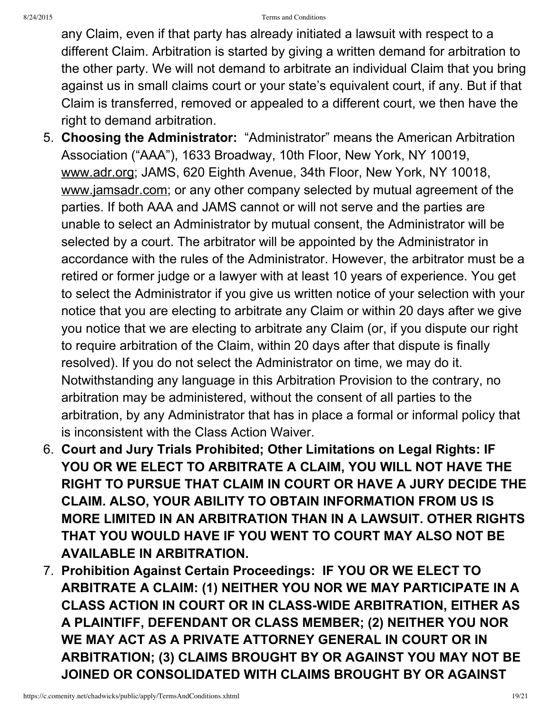any Claim, even if that party has already initiated a lawsuit with respect to a different Claim. Arbitration is started by giving a written demand for arbitration to the other party. We will not demand to arbitrate an individual Claim that you bring against us in small claims court or your state's equivalent court, if any. But if that Claim is transferred, removed or appealed to a different court, we then have the right to demand arbitration.

- 5. **Choosing the Administrator:** "Administrator" means the American Arbitration Association ("AAA"), 1633 Broadway, 10th Floor, New York, NY 10019, www.adr.org; JAMS, 620 Eighth Avenue, 34th Floor, New York, NY 10018, www.jamsadr.com; or any other company selected by mutual agreement of the parties. If both AAA and JAMS cannot or will not serve and the parties are unable to select an Administrator by mutual consent, the Administrator will be selected by a court. The arbitrator will be appointed by the Administrator in accordance with the rules of the Administrator. However, the arbitrator must be a retired or former judge or a lawyer with at least 10 years of experience. You get to select the Administrator if you give us written notice of your selection with your notice that you are electing to arbitrate any Claim or within 20 days after we give you notice that we are electing to arbitrate any Claim (or, if you dispute our right to require arbitration of the Claim, within 20 days after that dispute is finally resolved). If you do not select the Administrator on time, we may do it. Notwithstanding any language in this Arbitration Provision to the contrary, no arbitration may be administered, without the consent of all parties to the arbitration, by any Administrator that has in place a formal or informal policy that is inconsistent with the Class Action Waiver.
- 6. **Court and Jury Trials Prohibited; Other Limitations on Legal Rights: IF YOU OR WE ELECT TO ARBITRATE A CLAIM, YOU WILL NOT HAVE THE RIGHT TO PURSUE THAT CLAIM IN COURT OR HAVE A JURY DECIDE THE CLAIM. ALSO, YOUR ABILITY TO OBTAIN INFORMATION FROM US IS MORE LIMITED IN AN ARBITRATION THAN IN A LAWSUIT. OTHER RIGHTS THAT YOU WOULD HAVE IF YOU WENT TO COURT MAY ALSO NOT BE AVAILABLE IN ARBITRATION.**
- 7. **Prohibition Against Certain Proceedings: IF YOU OR WE ELECT TO ARBITRATE A CLAIM: (1) NEITHER YOU NOR WE MAY PARTICIPATE IN A CLASS ACTION IN COURT OR IN CLASSWIDE ARBITRATION, EITHER AS A PLAINTIFF, DEFENDANT OR CLASS MEMBER; (2) NEITHER YOU NOR WE MAY ACT AS A PRIVATE ATTORNEY GENERAL IN COURT OR IN ARBITRATION; (3) CLAIMS BROUGHT BY OR AGAINST YOU MAY NOT BE JOINED OR CONSOLIDATED WITH CLAIMS BROUGHT BY OR AGAINST**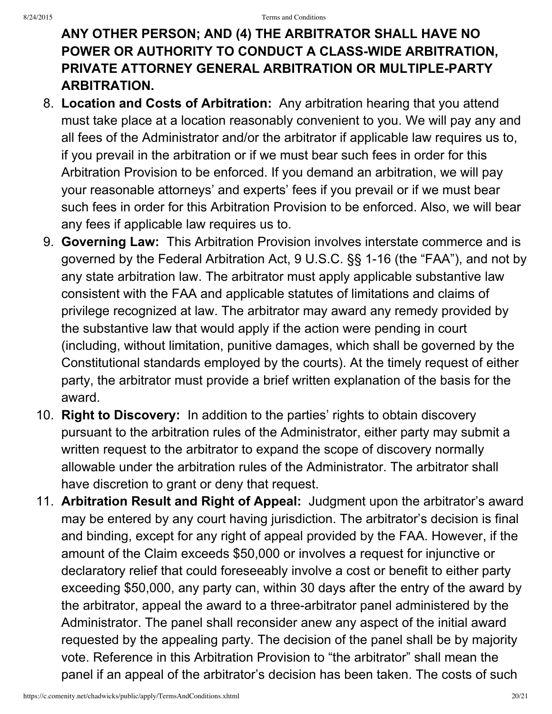## **ANY OTHER PERSON; AND (4) THE ARBITRATOR SHALL HAVE NO POWER OR AUTHORITY TO CONDUCT A CLASSWIDE ARBITRATION, PRIVATE ATTORNEY GENERAL ARBITRATION OR MULTIPLE-PARTY ARBITRATION.**

- 8. **Location and Costs of Arbitration:** Any arbitration hearing that you attend must take place at a location reasonably convenient to you. We will pay any and all fees of the Administrator and/or the arbitrator if applicable law requires us to, if you prevail in the arbitration or if we must bear such fees in order for this Arbitration Provision to be enforced. If you demand an arbitration, we will pay your reasonable attorneys' and experts' fees if you prevail or if we must bear such fees in order for this Arbitration Provision to be enforced. Also, we will bear any fees if applicable law requires us to.
- 9. **Governing Law:** This Arbitration Provision involves interstate commerce and is governed by the Federal Arbitration Act, 9 U.S.C. §§ 1-16 (the "FAA"), and not by any state arbitration law. The arbitrator must apply applicable substantive law consistent with the FAA and applicable statutes of limitations and claims of privilege recognized at law. The arbitrator may award any remedy provided by the substantive law that would apply if the action were pending in court (including, without limitation, punitive damages, which shall be governed by the Constitutional standards employed by the courts). At the timely request of either party, the arbitrator must provide a brief written explanation of the basis for the award.
- 10. **Right to Discovery:** In addition to the parties' rights to obtain discovery pursuant to the arbitration rules of the Administrator, either party may submit a written request to the arbitrator to expand the scope of discovery normally allowable under the arbitration rules of the Administrator. The arbitrator shall have discretion to grant or deny that request.
- 11. **Arbitration Result and Right of Appeal:** Judgment upon the arbitrator's award may be entered by any court having jurisdiction. The arbitrator's decision is final and binding, except for any right of appeal provided by the FAA. However, if the amount of the Claim exceeds \$50,000 or involves a request for injunctive or declaratory relief that could foreseeably involve a cost or benefit to either party exceeding \$50,000, any party can, within 30 days after the entry of the award by the arbitrator, appeal the award to a three-arbitrator panel administered by the Administrator. The panel shall reconsider anew any aspect of the initial award requested by the appealing party. The decision of the panel shall be by majority vote. Reference in this Arbitration Provision to "the arbitrator" shall mean the panel if an appeal of the arbitrator's decision has been taken. The costs of such